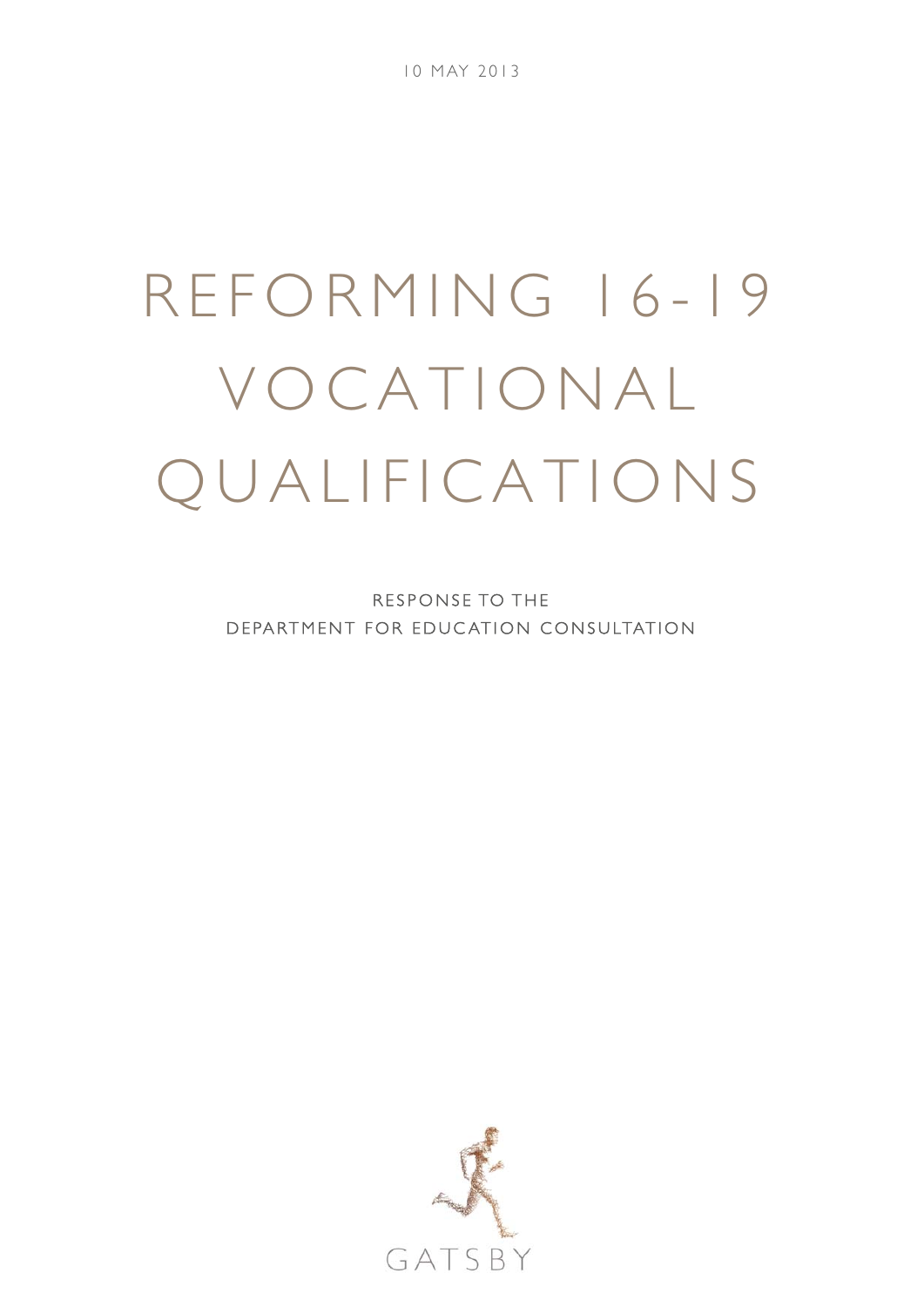# REFORMING 16-19 VOCATIONAL QUALIFICATIONS

RESPONSE TO THE DEPARTMENT FOR EDUC ATION CONSULTATION

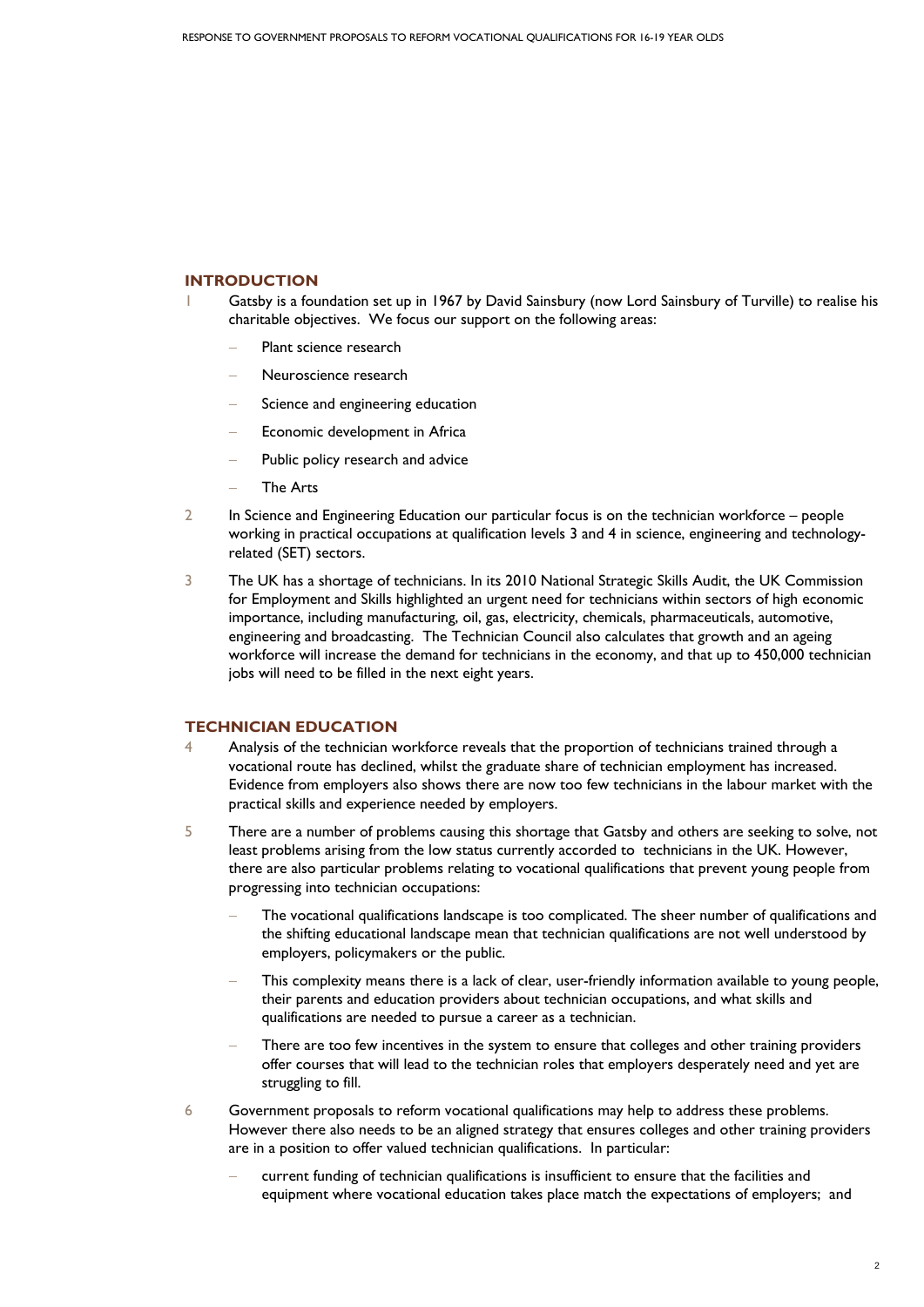# **INTRODUCTION**

- Gatsby is a foundation set up in 1967 by David Sainsbury (now Lord Sainsbury of Turville) to realise his charitable objectives. We focus our support on the following areas:
	- Plant science research
	- − Neuroscience research
	- Science and engineering education
	- Economic development in Africa
	- Public policy research and advice
	- − The Arts
- 2 In Science and Engineering Education our particular focus is on the technician workforce people working in practical occupations at qualification levels 3 and 4 in science, engineering and technologyrelated (SET) sectors.
- 3 The UK has a shortage of technicians. In its 2010 National Strategic Skills Audit, the UK Commission for Employment and Skills highlighted an urgent need for technicians within sectors of high economic importance, including manufacturing, oil, gas, electricity, chemicals, pharmaceuticals, automotive, engineering and broadcasting. The Technician Council also calculates that growth and an ageing workforce will increase the demand for technicians in the economy, and that up to 450,000 technician jobs will need to be filled in the next eight years.

# **TECHNICIAN EDUCATION**

- 4 Analysis of the technician workforce reveals that the proportion of technicians trained through a vocational route has declined, whilst the graduate share of technician employment has increased. Evidence from employers also shows there are now too few technicians in the labour market with the practical skills and experience needed by employers.
- 5 There are a number of problems causing this shortage that Gatsby and others are seeking to solve, not least problems arising from the low status currently accorded to technicians in the UK. However, there are also particular problems relating to vocational qualifications that prevent young people from progressing into technician occupations:
	- The vocational qualifications landscape is too complicated. The sheer number of qualifications and the shifting educational landscape mean that technician qualifications are not well understood by employers, policymakers or the public.
	- This complexity means there is a lack of clear, user-friendly information available to young people, their parents and education providers about technician occupations, and what skills and qualifications are needed to pursue a career as a technician.
	- There are too few incentives in the system to ensure that colleges and other training providers offer courses that will lead to the technician roles that employers desperately need and yet are struggling to fill.
- 6 Government proposals to reform vocational qualifications may help to address these problems. However there also needs to be an aligned strategy that ensures colleges and other training providers are in a position to offer valued technician qualifications. In particular:
	- current funding of technician qualifications is insufficient to ensure that the facilities and equipment where vocational education takes place match the expectations of employers; and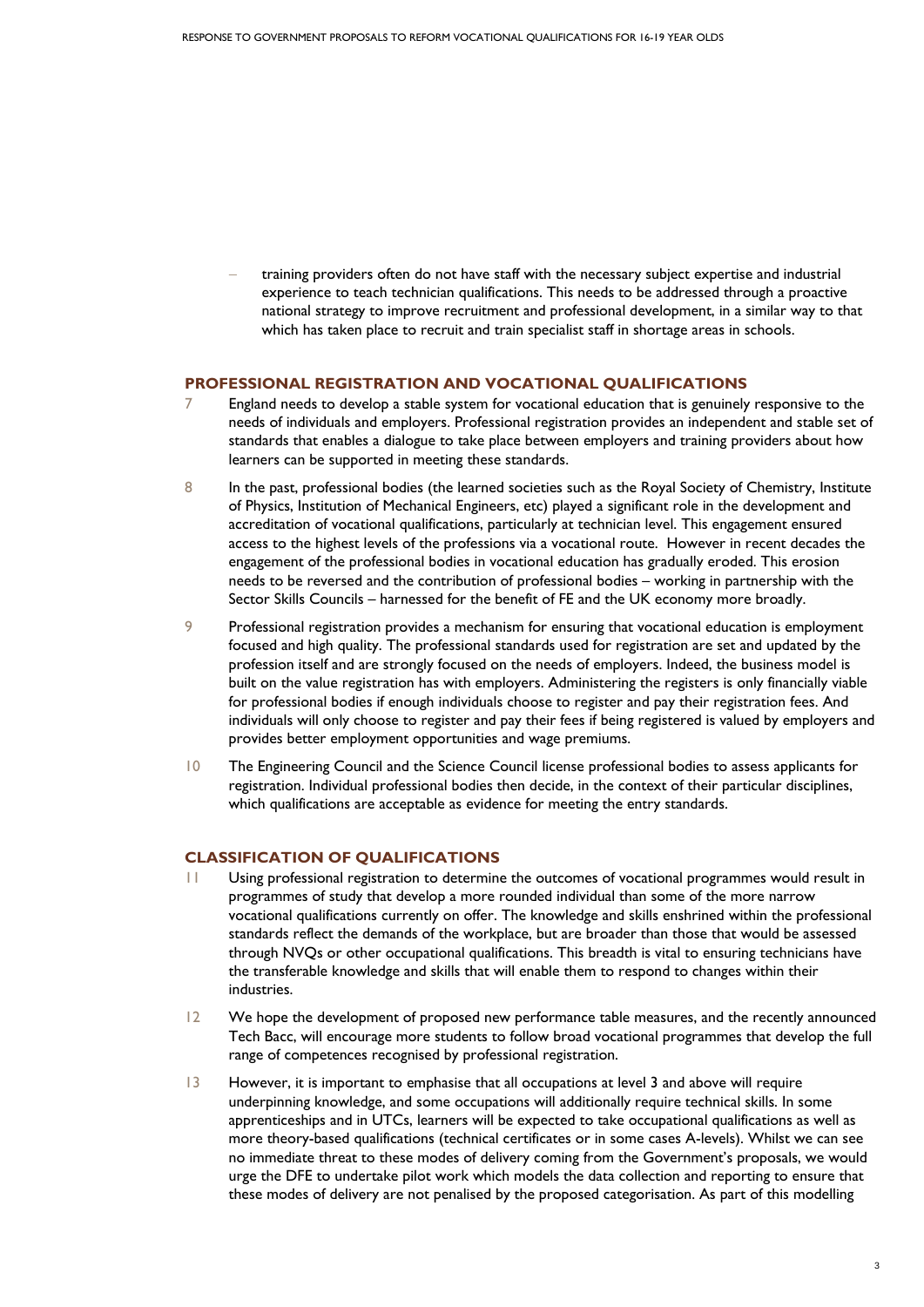− training providers often do not have staff with the necessary subject expertise and industrial experience to teach technician qualifications. This needs to be addressed through a proactive national strategy to improve recruitment and professional development, in a similar way to that which has taken place to recruit and train specialist staff in shortage areas in schools.

### **PROFESSIONAL REGISTRATION AND VOCATIONAL QUALIFICATIONS**

- 7 England needs to develop a stable system for vocational education that is genuinely responsive to the needs of individuals and employers. Professional registration provides an independent and stable set of standards that enables a dialogue to take place between employers and training providers about how learners can be supported in meeting these standards.
- 8 In the past, professional bodies (the learned societies such as the Royal Society of Chemistry, Institute of Physics, Institution of Mechanical Engineers, etc) played a significant role in the development and accreditation of vocational qualifications, particularly at technician level. This engagement ensured access to the highest levels of the professions via a vocational route. However in recent decades the engagement of the professional bodies in vocational education has gradually eroded. This erosion needs to be reversed and the contribution of professional bodies – working in partnership with the Sector Skills Councils – harnessed for the benefit of FE and the UK economy more broadly.
- 9 Professional registration provides a mechanism for ensuring that vocational education is employment focused and high quality. The professional standards used for registration are set and updated by the profession itself and are strongly focused on the needs of employers. Indeed, the business model is built on the value registration has with employers. Administering the registers is only financially viable for professional bodies if enough individuals choose to register and pay their registration fees. And individuals will only choose to register and pay their fees if being registered is valued by employers and provides better employment opportunities and wage premiums.
- 10 The Engineering Council and the Science Council license professional bodies to assess applicants for registration. Individual professional bodies then decide, in the context of their particular disciplines, which qualifications are acceptable as evidence for meeting the entry standards.

# **CLASSIFICATION OF QUALIFICATIONS**

- 11 Using professional registration to determine the outcomes of vocational programmes would result in programmes of study that develop a more rounded individual than some of the more narrow vocational qualifications currently on offer. The knowledge and skills enshrined within the professional standards reflect the demands of the workplace, but are broader than those that would be assessed through NVQs or other occupational qualifications. This breadth is vital to ensuring technicians have the transferable knowledge and skills that will enable them to respond to changes within their industries.
- 12 We hope the development of proposed new performance table measures, and the recently announced Tech Bacc, will encourage more students to follow broad vocational programmes that develop the full range of competences recognised by professional registration.
- 13 However, it is important to emphasise that all occupations at level 3 and above will require underpinning knowledge, and some occupations will additionally require technical skills. In some apprenticeships and in UTCs, learners will be expected to take occupational qualifications as well as more theory-based qualifications (technical certificates or in some cases A-levels). Whilst we can see no immediate threat to these modes of delivery coming from the Government's proposals, we would urge the DFE to undertake pilot work which models the data collection and reporting to ensure that these modes of delivery are not penalised by the proposed categorisation. As part of this modelling